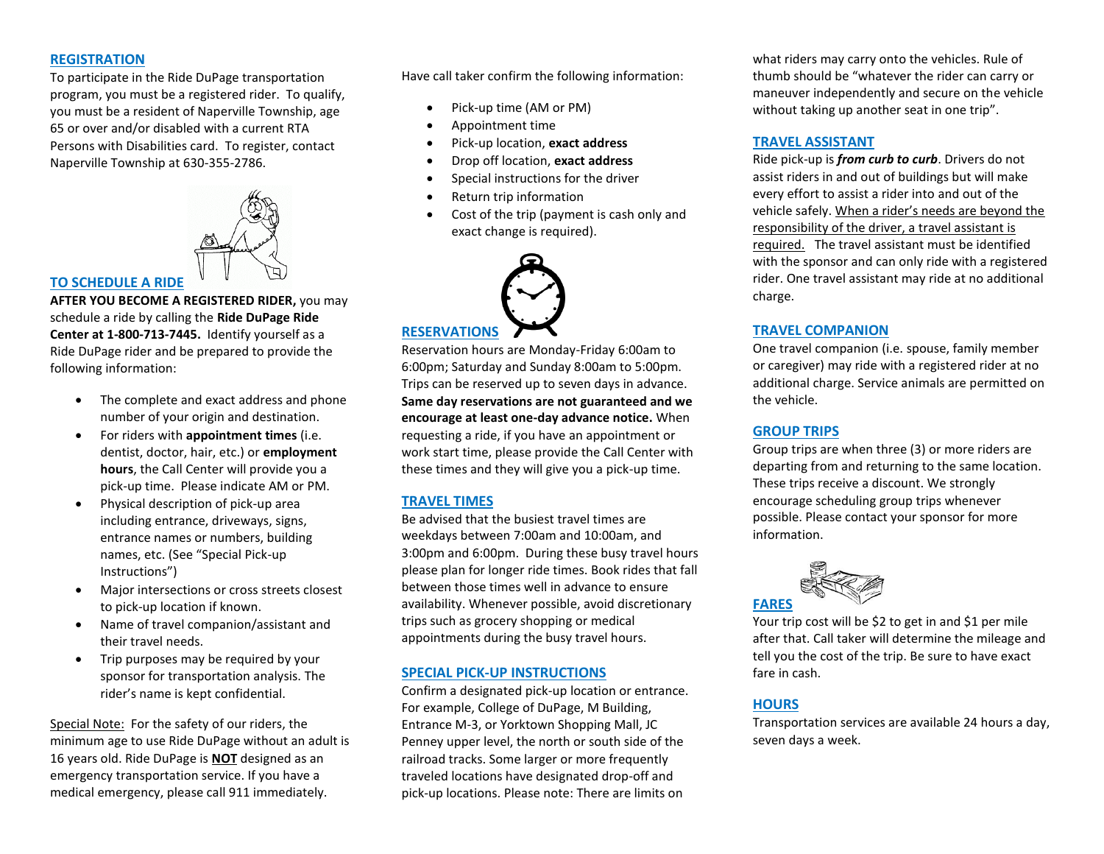#### **REGISTRATION**

To participate in the Ride DuPage transportation program, you must be a registered rider. To qualify, you must be a resident of Naperville Township, age 65 or over and/or disabled with a current RTA Persons with Disabilities card. To register, contact Naperville Township at 630-355-2786.



#### **TO SCHEDULE A RIDE**

**AFTER YOU BECOME A REGISTERED RIDER,** you may schedule a ride by calling the **Ride DuPage Ride Center at 1-800-713-7445.** Identify yourself as a Ride DuPage rider and be prepared to provide the following information:

- The complete and exact address and phone number of your origin and destination.
- For riders with **appointment times** (i.e. dentist, doctor, hair, etc.) or **employment hours**, the Call Center will provide you a pick-up time. Please indicate AM or PM.
- Physical description of pick-up area including entrance, driveways, signs, entrance names or numbers, building names, etc. (See "Special Pick-up Instructions")
- Major intersections or cross streets closest to pick-up location if known.
- Name of travel companion/assistant and their travel needs.
- Trip purposes may be required by your sponsor for transportation analysis. The rider's name is kept confidential.

Special Note: For the safety of our riders, the minimum age to use Ride DuPage without an adult is 16 years old. Ride DuPage is **NOT** designed as an emergency transportation service. If you have a medical emergency, please call 911 immediately.

Have call taker confirm the following information:

- Pick-up time (AM or PM)
- Appointment time
- Pick-up location, **exact address**
- Drop off location, **exact address**
- Special instructions for the driver
- Return trip information
- Cost of the trip (payment is cash only and exact change is required).



# **RESERVATIONS**

Reservation hours are Monday-Friday 6:00am to 6:00pm; Saturday and Sunday 8:00am to 5:00pm. Trips can be reserved up to seven days in advance. **Same day reservations are not guaranteed and we encourage at least one-day advance notice.** When requesting a ride, if you have an appointment or work start time, please provide the Call Center with these times and they will give you a pick-up time.

## **TRAVEL TIMES**

Be advised that the busiest travel times are weekdays between 7:00am and 10:00am, and 3:00pm and 6:00pm. During these busy travel hours please plan for longer ride times. Book rides that fall between those times well in advance to ensure availability. Whenever possible, avoid discretionary trips such as grocery shopping or medical appointments during the busy travel hours.

#### **SPECIAL PICK-UP INSTRUCTIONS**

Confirm a designated pick-up location or entrance. For example, College of DuPage, M Building, Entrance M-3, or Yorktown Shopping Mall, JC Penney upper level, the north or south side of the railroad tracks. Some larger or more frequently traveled locations have designated drop-off and pick-up locations. Please note: There are limits on

what riders may carry onto the vehicles. Rule of thumb should be "whatever the rider can carry or maneuver independently and secure on the vehicle without taking up another seat in one trip".

### **TRAVEL ASSISTANT**

Ride pick-up is *from curb to curb*. Drivers do not assist riders in and out of buildings but will make every effort to assist a rider into and out of the vehicle safely. When a rider's needs are beyond the responsibility of the driver, a travel assistant is required. The travel assistant must be identified with the sponsor and can only ride with a registered rider. One travel assistant may ride at no additional charge.

#### **TRAVEL COMPANION**

One travel companion (i.e. spouse, family member or caregiver) may ride with a registered rider at no additional charge. Service animals are permitted on the vehicle.

# **GROUP TRIPS**

Group trips are when three (3) or more riders are departing from and returning to the same location. These trips receive a discount. We strongly encourage scheduling group trips whenever possible. Please contact your sponsor for more information.



Your trip cost will be \$2 to get in and \$1 per mile after that. Call taker will determine the mileage and tell you the cost of the trip. Be sure to have exact fare in cash.

# **HOURS**

Transportation services are available 24 hours a day, seven days a week.